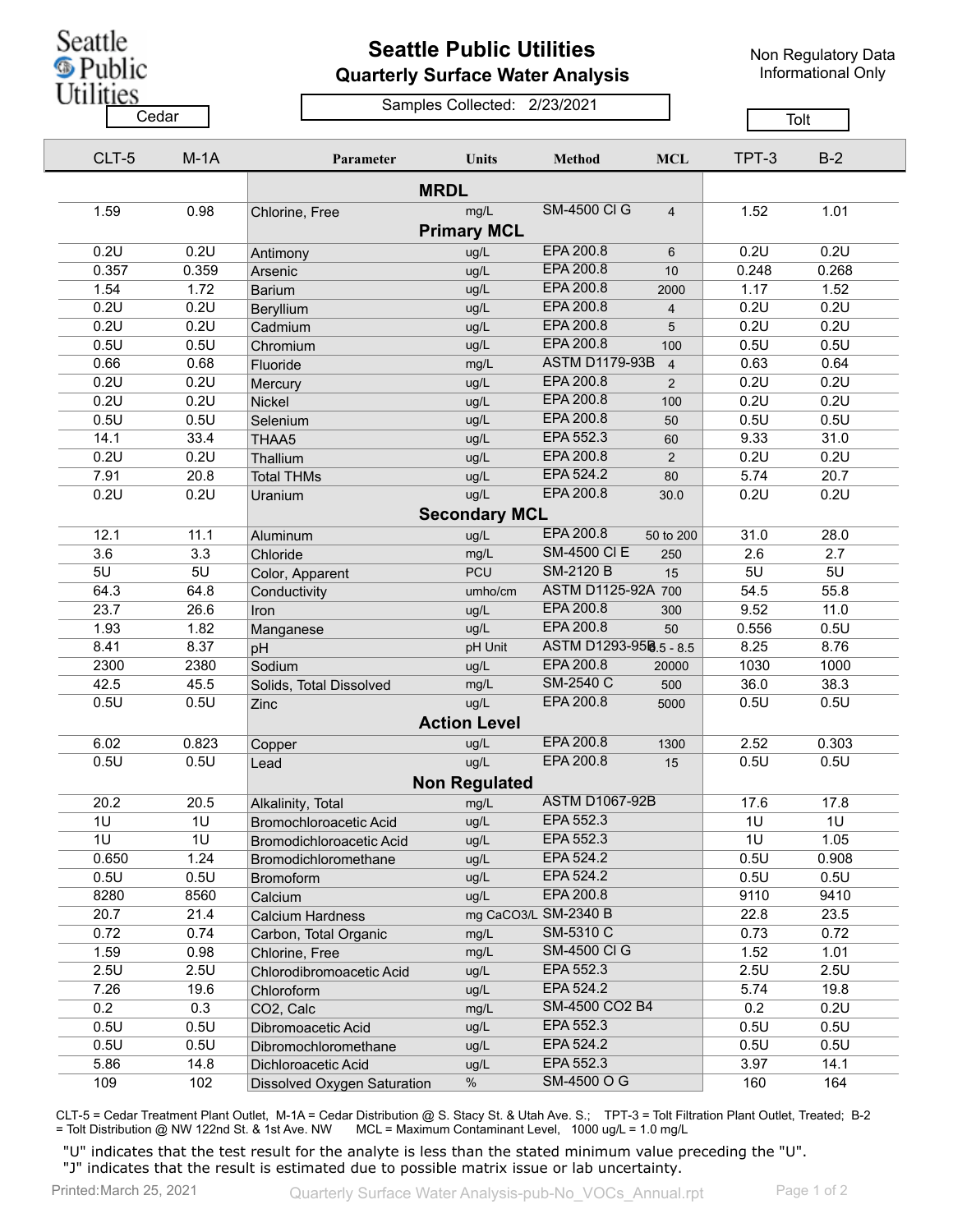Seattle <sup>5</sup> Public

Utilities

## **Seattle Public Utilities Quarterly Surface Water Analysis**

Non Regulatory Data Informational Only

Samples Collected: 2/23/2021

Cedar **Cedar** Cedar Compression Compression Cedar Tolt

|             | CLT-5 | $M-1A$ | Parameter                     | Units                      | <b>Method</b>          | <b>MCL</b>     | TPT-3 | $B-2$ |  |  |  |  |
|-------------|-------|--------|-------------------------------|----------------------------|------------------------|----------------|-------|-------|--|--|--|--|
| <b>MRDL</b> |       |        |                               |                            |                        |                |       |       |  |  |  |  |
|             | 1.59  | 0.98   | Chlorine, Free                | mg/L<br><b>Primary MCL</b> | <b>SM-4500 CI G</b>    | $\overline{4}$ | 1.52  | 1.01  |  |  |  |  |
|             | 0.2U  | 0.2U   |                               |                            | EPA 200.8              |                | 0.2U  | 0.2U  |  |  |  |  |
|             | 0.357 | 0.359  | Antimony                      | ug/L<br>ug/L               | EPA 200.8              | 6<br>10        | 0.248 | 0.268 |  |  |  |  |
|             | 1.54  | 1.72   | Arsenic<br><b>Barium</b>      | ug/L                       | EPA 200.8              |                | 1.17  | 1.52  |  |  |  |  |
|             | 0.2U  | 0.2U   |                               | ug/L                       | EPA 200.8              | 2000           | 0.2U  | 0.2U  |  |  |  |  |
|             | 0.2U  | 0.2U   | Beryllium<br>Cadmium          | ug/L                       | EPA 200.8              | 4<br>5         | 0.2U  | 0.2U  |  |  |  |  |
|             | 0.5U  | 0.5U   | Chromium                      | ug/L                       | EPA 200.8              | 100            | 0.5U  | 0.5U  |  |  |  |  |
|             | 0.66  | 0.68   | Fluoride                      | mg/L                       | <b>ASTM D1179-93B</b>  | $\overline{4}$ | 0.63  | 0.64  |  |  |  |  |
|             | 0.2U  | 0.2U   | Mercury                       | ug/L                       | EPA 200.8              | $\overline{2}$ | 0.2U  | 0.2U  |  |  |  |  |
|             | 0.2U  | 0.2U   | Nickel                        | ug/L                       | EPA 200.8              | 100            | 0.2U  | 0.2U  |  |  |  |  |
|             | 0.5U  | 0.5U   | Selenium                      | ug/L                       | EPA 200.8              | 50             | 0.5U  | 0.5U  |  |  |  |  |
|             | 14.1  | 33.4   | THAA5                         | ug/L                       | EPA 552.3              | 60             | 9.33  | 31.0  |  |  |  |  |
|             | 0.2U  | 0.2U   | Thallium                      | ug/L                       | EPA 200.8              | $\overline{2}$ | 0.2U  | 0.2U  |  |  |  |  |
|             | 7.91  | 20.8   | <b>Total THMs</b>             | ug/L                       | EPA 524.2              | 80             | 5.74  | 20.7  |  |  |  |  |
|             | 0.2U  | 0.2U   | Uranium                       | ug/L                       | EPA 200.8              | 30.0           | 0.2U  | 0.2U  |  |  |  |  |
|             |       |        |                               | <b>Secondary MCL</b>       |                        |                |       |       |  |  |  |  |
|             | 12.1  | 11.1   |                               | ug/L                       | EPA 200.8              | 50 to 200      | 31.0  | 28.0  |  |  |  |  |
|             | 3.6   | 3.3    | Aluminum<br>Chloride          | mg/L                       | <b>SM-4500 CI E</b>    | 250            | 2.6   | 2.7   |  |  |  |  |
|             | 5U    | 5U     |                               | <b>PCU</b>                 | <b>SM-2120 B</b>       | 15             | 5U    | 5U    |  |  |  |  |
|             | 64.3  | 64.8   | Color, Apparent               | umho/cm                    | ASTM D1125-92A 700     |                | 54.5  | 55.8  |  |  |  |  |
|             | 23.7  | 26.6   | Conductivity<br>Iron          | ug/L                       | EPA 200.8              | 300            | 9.52  | 11.0  |  |  |  |  |
|             | 1.93  | 1.82   |                               | ug/L                       | EPA 200.8              | 50             | 0.556 | 0.5U  |  |  |  |  |
|             | 8.41  | 8.37   | Manganese<br>pH               | pH Unit                    | ASTM D1293-958.5 - 8.5 |                | 8.25  | 8.76  |  |  |  |  |
|             | 2300  | 2380   | Sodium                        | ug/L                       | EPA 200.8              | 20000          | 1030  | 1000  |  |  |  |  |
|             | 42.5  | 45.5   | Solids, Total Dissolved       | mg/L                       | SM-2540 C              | 500            | 36.0  | 38.3  |  |  |  |  |
|             | 0.5U  | 0.5U   | Zinc                          | ug/L                       | EPA 200.8              | 5000           | 0.5U  | 0.5U  |  |  |  |  |
|             |       |        |                               | <b>Action Level</b>        |                        |                |       |       |  |  |  |  |
|             | 6.02  | 0.823  | Copper                        | ug/L                       | EPA 200.8              | 1300           | 2.52  | 0.303 |  |  |  |  |
|             | 0.5U  | 0.5U   | Lead                          | ug/L                       | EPA 200.8              | 15             | 0.5U  | 0.5U  |  |  |  |  |
|             |       |        |                               | <b>Non Regulated</b>       |                        |                |       |       |  |  |  |  |
|             | 20.2  | 20.5   | Alkalinity, Total             | mg/L                       | <b>ASTM D1067-92B</b>  |                | 17.6  | 17.8  |  |  |  |  |
|             | 1U    | 1U     | <b>Bromochloroacetic Acid</b> | ug/L                       | EPA 552.3              |                | 1U    | 1U    |  |  |  |  |
|             | 1U    | 1U     | Bromodichloroacetic Acid      | ug/L                       | EPA 552.3              |                | 1U    | 1.05  |  |  |  |  |
|             | 0.650 | 1.24   | Bromodichloromethane          | ug/L                       | EPA 524.2              |                | 0.5U  | 0.908 |  |  |  |  |
|             | 0.5U  | 0.5U   | <b>Bromoform</b>              | ug/L                       | EPA 524.2              |                | 0.5U  | 0.5U  |  |  |  |  |
|             | 8280  | 8560   | Calcium                       | ug/L                       | EPA 200.8              |                | 9110  | 9410  |  |  |  |  |
|             | 20.7  | 21.4   | Calcium Hardness              |                            | mg CaCO3/L SM-2340 B   |                | 22.8  | 23.5  |  |  |  |  |
|             | 0.72  | 0.74   | Carbon, Total Organic         | mg/L                       | SM-5310 C              |                | 0.73  | 0.72  |  |  |  |  |
|             | 1.59  | 0.98   | Chlorine, Free                | mg/L                       | <b>SM-4500 CI G</b>    |                | 1.52  | 1.01  |  |  |  |  |
|             | 2.5U  | 2.5U   | Chlorodibromoacetic Acid      | ug/L                       | EPA 552.3              |                | 2.5U  | 2.5U  |  |  |  |  |
|             | 7.26  | 19.6   | Chloroform                    | ug/L                       | EPA 524.2              |                | 5.74  | 19.8  |  |  |  |  |
|             | 0.2   | 0.3    | CO2, Calc                     | mg/L                       | SM-4500 CO2 B4         |                | 0.2   | 0.2U  |  |  |  |  |
|             | 0.5U  | 0.5U   | Dibromoacetic Acid            | ug/L                       | EPA 552.3              |                | 0.5U  | 0.5U  |  |  |  |  |
|             | 0.5U  | 0.5U   | Dibromochloromethane          | ug/L                       | EPA 524.2              |                | 0.5U  | 0.5U  |  |  |  |  |
|             | 5.86  | 14.8   | Dichloroacetic Acid           | ug/L                       | EPA 552.3              |                | 3.97  | 14.1  |  |  |  |  |
|             | 109   | 102    | Dissolved Oxygen Saturation   | $\%$                       | SM-4500 O G            |                | 160   | 164   |  |  |  |  |

CLT-5 = Cedar Treatment Plant Outlet, M-1A = Cedar Distribution @ S. Stacy St. & Utah Ave. S.; TPT-3 = Tolt Filtration Plant Outlet, Treated; B-2<br>= Tolt Distribution @ NW 122nd St. & 1st Ave. NW MCL = Maximum Contaminant L MCL = Maximum Contaminant Level, 1000 ug/L = 1.0 mg/L

"U" indicates that the test result for the analyte is less than the stated minimum value preceding the "U". "J" indicates that the result is estimated due to possible matrix issue or lab uncertainty.